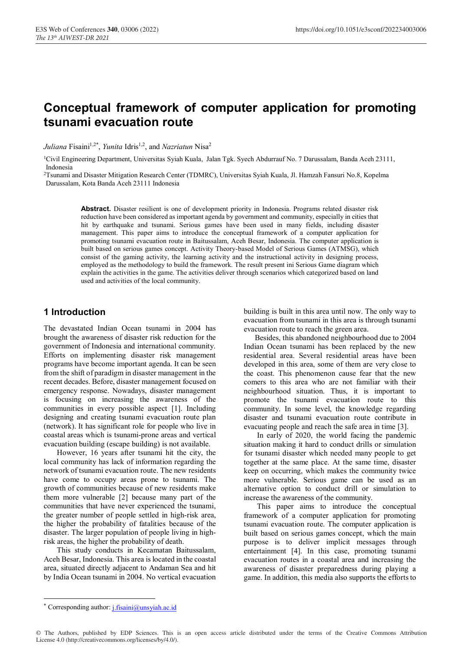# **Conceptual framework of computer application for promoting tsunami evacuation route**

*Juliana* Fisaini<sup>1,2\*</sup>, *Yunita* Idris<sup>1,2</sup>, and *Nazriatun* Nisa<sup>2</sup>

1Civil Engineering Department, Universitas Syiah Kuala, Jalan Tgk. Syech Abdurrauf No. 7 Darussalam, Banda Aceh 23111, Indonesia

2Tsunami and Disaster Mitigation Research Center (TDMRC), Universitas Syiah Kuala, Jl. Hamzah Fansuri No.8, Kopelma Darussalam, Kota Banda Aceh 23111 Indonesia

> **Abstract.** Disaster resilient is one of development priority in Indonesia. Programs related disaster risk reduction have been considered as important agenda by government and community, especially in cities that hit by earthquake and tsunami. Serious games have been used in many fields, including disaster management. This paper aims to introduce the conceptual framework of a computer application for promoting tsunami evacuation route in Baitussalam, Aceh Besar, Indonesia. The computer application is built based on serious games concept. Activity Theory-based Model of Serious Games (ATMSG), which consist of the gaming activity, the learning activity and the instructional activity in designing process, employed as the methodology to build the framework. The result present ini Serious Game diagram which explain the activities in the game. The activities deliver through scenarios which categorized based on land used and activities of the local community.

#### **1 Introduction**

The devastated Indian Ocean tsunami in 2004 has brought the awareness of disaster risk reduction for the government of Indonesia and international community. Efforts on implementing disaster risk management programs have become important agenda. It can be seen from the shift of paradigm in disaster management in the recent decades. Before, disaster management focused on emergency response. Nowadays, disaster management is focusing on increasing the awareness of the communities in every possible aspect [1]. Including designing and creating tsunami evacuation route plan (network). It has significant role for people who live in coastal areas which is tsunami-prone areas and vertical evacuation building (escape building) is not available.

However, 16 years after tsunami hit the city, the local community has lack of information regarding the network of tsunami evacuation route. The new residents have come to occupy areas prone to tsunami. The growth of communities because of new residents make them more vulnerable [2] because many part of the communities that have never experienced the tsunami, the greater number of people settled in high-risk area, the higher the probability of fatalities because of the disaster. The larger population of people living in highrisk areas, the higher the probability of death.

This study conducts in Kecamatan Baitussalam, Aceh Besar, Indonesia. This area is located in the coastal area, situated directly adjacent to Andaman Sea and hit by India Ocean tsunami in 2004. No vertical evacuation

building is built in this area until now. The only way to evacuation from tsunami in this area is through tsunami evacuation route to reach the green area.

Besides, this abandoned neighbourhood due to 2004 Indian Ocean tsunami has been replaced by the new residential area. Several residential areas have been developed in this area, some of them are very close to the coast. This phenomenon cause fear that the new comers to this area who are not familiar with their neighbourhood situation. Thus, it is important to promote the tsunami evacuation route to this community. In some level, the knowledge regarding disaster and tsunami evacuation route contribute in evacuating people and reach the safe area in time [3].

In early of 2020, the world facing the pandemic situation making it hard to conduct drills or simulation for tsunami disaster which needed many people to get together at the same place. At the same time, disaster keep on occurring, which makes the community twice more vulnerable. Serious game can be used as an alternative option to conduct drill or simulation to increase the awareness of the community.

This paper aims to introduce the conceptual framework of a computer application for promoting tsunami evacuation route. The computer application is built based on serious games concept, which the main purpose is to deliver implicit messages through entertainment [4]. In this case, promoting tsunami evacuation routes in a coastal area and increasing the awareness of disaster preparedness during playing a game. In addition, this media also supports the efforts to

 <sup>\*</sup> Corresponding author: j.fisaini@unsyiah.ac.id

<sup>©</sup> The Authors, published by EDP Sciences. This is an open access article distributed under the terms of the Creative Commons Attribution License 4.0 (http://creativecommons.org/licenses/by/4.0/).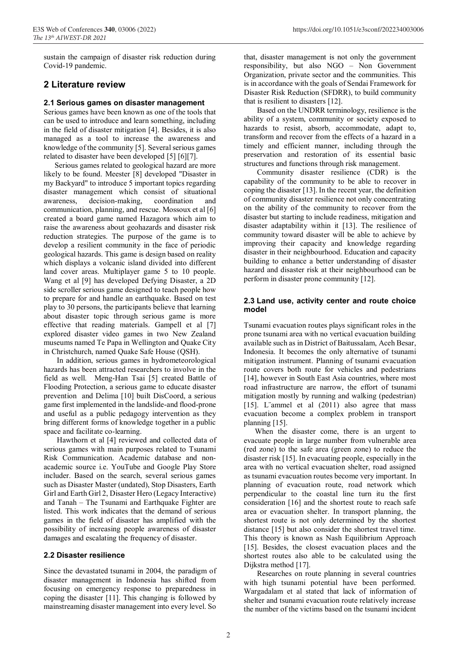sustain the campaign of disaster risk reduction during Covid-19 pandemic.

# **2 Literature review**

#### **2.1 Serious games on disaster management**

Serious games have been known as one of the tools that can be used to introduce and learn something, including in the field of disaster mitigation [4]. Besides, it is also managed as a tool to increase the awareness and knowledge of the community [5]. Several serious games related to disaster have been developed [5] [6][7].

Serious games related to geological hazard are more likely to be found. Meester [8] developed "Disaster in my Backyard" to introduce 5 important topics regarding disaster management which consist of situational awareness, decision-making, coordination and communication, planning, and rescue. Mossoux et al [6] created a board game named Hazagora which aim to raise the awareness about geohazards and disaster risk reduction strategies. The purpose of the game is to develop a resilient community in the face of periodic geological hazards. This game is design based on reality which displays a volcanic island divided into different land cover areas. Multiplayer game 5 to 10 people. Wang et al [9] has developed Defying Disaster, a 2D side scroller serious game designed to teach people how to prepare for and handle an earthquake. Based on test play to 30 persons, the participants believe that learning about disaster topic through serious game is more effective that reading materials. Gampell et al [7] explored disaster video games in two New Zealand museums named Te Papa in Wellington and Quake City in Christchurch, named Quake Safe House (QSH).

In addition, serious games in hydrometeorological hazards has been attracted researchers to involve in the field as well. Meng-Han Tsai [5] created Battle of Flooding Protection, a serious game to educate disaster prevention and Delima [10] built DisCoord, a serious game first implemented in the landslide-and flood-prone and useful as a public pedagogy intervention as they bring different forms of knowledge together in a public space and facilitate co-learning.

Hawthorn et al [4] reviewed and collected data of serious games with main purposes related to Tsunami Risk Communication. Academic database and nonacademic source i.e. YouTube and Google Play Store includer. Based on the search, several serious games such as Disaster Master (undated), Stop Disasters, Earth Girl and Earth Girl 2, Disaster Hero (Legacy Interactive) and Tanah – The Tsunami and Earthquake Fighter are listed. This work indicates that the demand of serious games in the field of disaster has amplified with the possibility of increasing people awareness of disaster damages and escalating the frequency of disaster.

#### **2.2 Disaster resilience**

Since the devastated tsunami in 2004, the paradigm of disaster management in Indonesia has shifted from focusing on emergency response to preparedness in coping the disaster [11]. This changing is followed by mainstreaming disaster management into every level. So

that, disaster management is not only the government responsibility, but also NGO – Non Government Organization, private sector and the communities. This is in accordance with the goals of Sendai Framework for Disaster Risk Reduction (SFDRR), to build community that is resilient to disasters [12].

Based on the UNDRR terminology, resilience is the ability of a system, community or society exposed to hazards to resist, absorb, accommodate, adapt to, transform and recover from the effects of a hazard in a timely and efficient manner, including through the preservation and restoration of its essential basic structures and functions through risk management.

Community disaster resilience (CDR) is the capability of the community to be able to recover in coping the disaster [13]. In the recent year, the definition of community disaster resilience not only concentrating on the ability of the community to recover from the disaster but starting to include readiness, mitigation and disaster adaptability within it [13]. The resilience of community toward disaster will be able to achieve by improving their capacity and knowledge regarding disaster in their neighbourhood. Education and capacity building to enhance a better understanding of disaster hazard and disaster risk at their neighbourhood can be perform in disaster prone community [12].

#### **2.3 Land use, activity center and route choice model**

Tsunami evacuation routes plays significant roles in the prone tsunami area with no vertical evacuation building available such as in District of Baitussalam, Aceh Besar, Indonesia. It becomes the only alternative of tsunami mitigation instrument. Planning of tsunami evacuation route covers both route for vehicles and pedestrians [14], however in South East Asia countries, where most road infrastructure are narrow, the effort of tsunami mitigation mostly by running and walking (pedestrian) [15]. L"ammel et al (2011) also agree that mass evacuation become a complex problem in transport planning [15].

When the disaster come, there is an urgent to evacuate people in large number from vulnerable area (red zone) to the safe area (green zone) to reduce the disaster risk [15]. In evacuating people, especially in the area with no vertical evacuation shelter, road assigned as tsunami evacuation routes become very important. In planning of evacuation route, road network which perpendicular to the coastal line turn itu the first consideration [16] and the shortest route to reach safe area or evacuation shelter. In transport planning, the shortest route is not only determined by the shortest distance [15] but also consider the shortest travel time. This theory is known as Nash Equilibrium Approach [15]. Besides, the closest evacuation places and the shortest routes also able to be calculated using the Dijkstra method [17].

Researches on route planning in several countries with high tsunami potential have been performed. Wargadalam et al stated that lack of information of shelter and tsunami evacuation route relatively increase the number of the victims based on the tsunami incident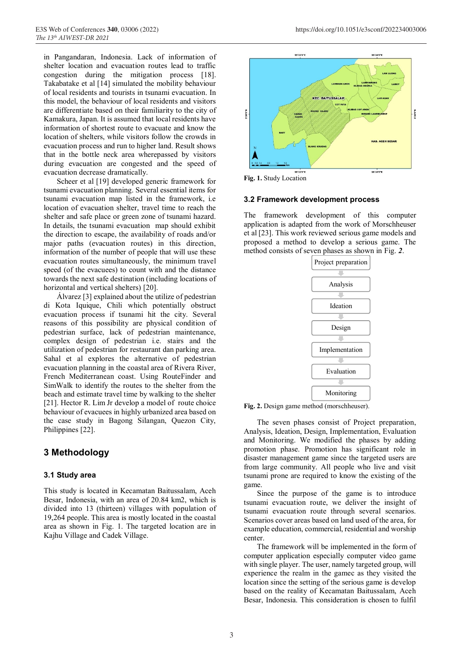in Pangandaran, Indonesia. Lack of information of shelter location and evacuation routes lead to traffic congestion during the mitigation process [18]. Takabatake et al [14] simulated the mobility behaviour of local residents and tourists in tsunami evacuation. In this model, the behaviour of local residents and visitors are differentiate based on their familiarity to the city of Kamakura, Japan. It is assumed that local residents have information of shortest route to evacuate and know the location of shelters, while visitors follow the crowds in evacuation process and run to higher land. Result shows that in the bottle neck area wherepassed by visitors during evacuation are congested and the speed of evacuation decrease dramatically.

Scheer et al [19] developed generic framework for tsunami evacuation planning. Several essential items for tsunami evacuation map listed in the framework, i.e location of evacuation shelter, travel time to reach the shelter and safe place or green zone of tsunami hazard. In details, the tsunami evacuation map should exhibit the direction to escape, the availability of roads and/or major paths (evacuation routes) in this direction, information of the number of people that will use these evacuation routes simultaneously, the minimum travel speed (of the evacuees) to count with and the distance towards the next safe destination (including locations of horizontal and vertical shelters) [20].

Álvarez [3] explained about the utilize of pedestrian di Kota Iquique, Chili which potentially obstruct evacuation process if tsunami hit the city. Several reasons of this possibility are physical condition of pedestrian surface, lack of pedestrian maintenance, complex design of pedestrian i.e. stairs and the utilization of pedestrian for restaurant dan parking area. Sahal et al explores the alternative of pedestrian evacuation planning in the coastal area of Rivera River, French Mediterranean coast. Using RouteFinder and SimWalk to identify the routes to the shelter from the beach and estimate travel time by walking to the shelter [21]. Hector R. Lim Jr develop a model of route choice behaviour of evacuees in highly urbanized area based on the case study in Bagong Silangan, Quezon City, Philippines [22].

# **3 Methodology**

#### **3.1 Study area**

This study is located in Kecamatan Baitussalam, Aceh Besar, Indonesia, with an area of 20.84 km2, which is divided into 13 (thirteen) villages with population of 19,264 people. This area is mostly located in the coastal area as shown in Fig. 1. The targeted location are in Kajhu Village and Cadek Village.



**Fig. 1.** Study Location

#### **3.2 Framework development process**

The framework development of this computer application is adapted from the work of Morschheuser et al [23]. This work reviewed serious game models and proposed a method to develop a serious game. The method consists of seven phases as shown in Fig. *2*.



**Fig. 2.** Design game method (morschheuser).

The seven phases consist of Project preparation, Analysis, Ideation, Design, Implementation, Evaluation and Monitoring. We modified the phases by adding promotion phase. Promotion has significant role in disaster management game since the targeted users are from large community. All people who live and visit tsunami prone are required to know the existing of the game.

Since the purpose of the game is to introduce tsunami evacuation route, we deliver the insight of tsunami evacuation route through several scenarios. Scenarios cover areas based on land used of the area, for example education, commercial, residential and worship center.

The framework will be implemented in the form of computer application especially computer video game with single player. The user, namely targeted group, will experience the realm in the gamec as they visited the location since the setting of the serious game is develop based on the reality of Kecamatan Baitussalam, Aceh Besar, Indonesia. This consideration is chosen to fulfil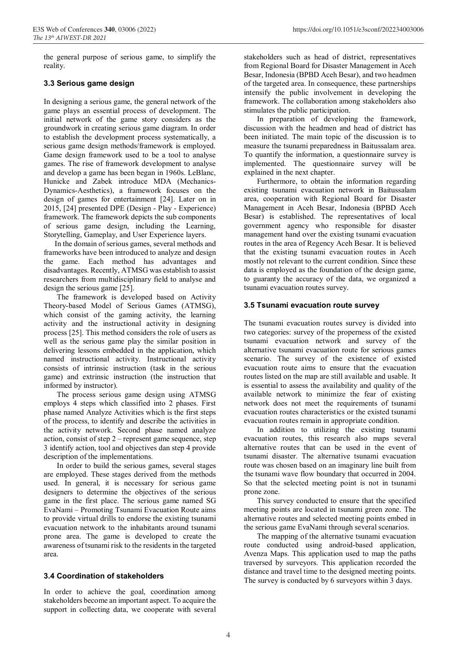the general purpose of serious game, to simplify the reality.

#### **3.3 Serious game design**

In designing a serious game, the general network of the game plays an essential process of development. The initial network of the game story considers as the groundwork in creating serious game diagram. In order to establish the development process systematically, a serious game design methods/framework is employed. Game design framework used to be a tool to analyse games. The rise of framework development to analyse and develop a game has been began in 1960s. LeBlanc, Hunicke and Zabek introduce MDA (Mechanics-Dynamics-Aesthetics), a framework focuses on the design of games for entertainment [24]. Later on in 2015, [24] presented DPE (Design - Play - Experience) framework. The framework depicts the sub components of serious game design, including the Learning, Storytelling, Gameplay, and User Experience layers.

In the domain of serious games, several methods and frameworks have been introduced to analyze and design the game. Each method has advantages and disadvantages. Recently, ATMSG was establish to assist researchers from multidisciplinary field to analyse and design the serious game [25].

The framework is developed based on Activity Theory-based Model of Serious Games (ATMSG), which consist of the gaming activity, the learning activity and the instructional activity in designing process [25]. This method considers the role of users as well as the serious game play the similar position in delivering lessons embedded in the application, which named instructional activity. Instructional activity consists of intrinsic instruction (task in the serious game) and extrinsic instruction (the instruction that informed by instructor).

The process serious game design using ATMSG employs 4 steps which classified into 2 phases. First phase named Analyze Activities which is the first steps of the process, to identify and describe the activities in the activity network. Second phase named analyze action, consist of step 2 – represent game sequence, step 3 identify action, tool and objectives dan step 4 provide description of the implementations.

In order to build the serious games, several stages are employed. These stages derived from the methods used. In general, it is necessary for serious game designers to determine the objectives of the serious game in the first place. The serious game named SG EvaNami – Promoting Tsunami Evacuation Route aims to provide virtual drills to endorse the existing tsunami evacuation network to the inhabitants around tsunami prone area. The game is developed to create the awareness of tsunami risk to the residents in the targeted area.

#### **3.4 Coordination of stakeholders**

In order to achieve the goal, coordination among stakeholders become an important aspect. To acquire the support in collecting data, we cooperate with several stakeholders such as head of district, representatives from Regional Board for Disaster Management in Aceh Besar, Indonesia (BPBD Aceh Besar), and two headmen of the targeted area. In consequence, these partnerships intensify the public involvement in developing the framework. The collaboration among stakeholders also stimulates the public participation.

In preparation of developing the framework, discussion with the headmen and head of district has been initiated. The main topic of the discussion is to measure the tsunami preparedness in Baitussalam area. To quantify the information, a questionnaire survey is implemented. The questionnaire survey will be explained in the next chapter.

Furthermore, to obtain the information regarding existing tsunami evacuation network in Baitussalam area, cooperation with Regional Board for Disaster Management in Aceh Besar, Indonesia (BPBD Aceh Besar) is established. The representatives of local government agency who responsible for disaster management hand over the existing tsunami evacuation routes in the area of Regency Aceh Besar. It is believed that the existing tsunami evacuation routes in Aceh mostly not relevant to the current condition. Since these data is employed as the foundation of the design game, to guaranty the accuracy of the data, we organized a tsunami evacuation routes survey.

#### **3.5 Tsunami evacuation route survey**

The tsunami evacuation routes survey is divided into two categories: survey of the properness of the existed tsunami evacuation network and survey of the alternative tsunami evacuation route for serious games scenario. The survey of the existence of existed evacuation route aims to ensure that the evacuation routes listed on the map are still available and usable. It is essential to assess the availability and quality of the available network to minimize the fear of existing network does not meet the requirements of tsunami evacuation routes characteristics or the existed tsunami evacuation routes remain in appropriate condition.

In addition to utilizing the existing tsunami evacuation routes, this research also maps several alternative routes that can be used in the event of tsunami disaster. The alternative tsunami evacuation route was chosen based on an imaginary line built from the tsunami wave flow boundary that occurred in 2004. So that the selected meeting point is not in tsunami prone zone.

This survey conducted to ensure that the specified meeting points are located in tsunami green zone. The alternative routes and selected meeting points embed in the serious game EvaNami through several scenarios.

The mapping of the alternative tsunami evacuation route conducted using android-based application, Avenza Maps. This application used to map the paths traversed by surveyors. This application recorded the distance and travel time to the designed meeting points. The survey is conducted by 6 surveyors within 3 days.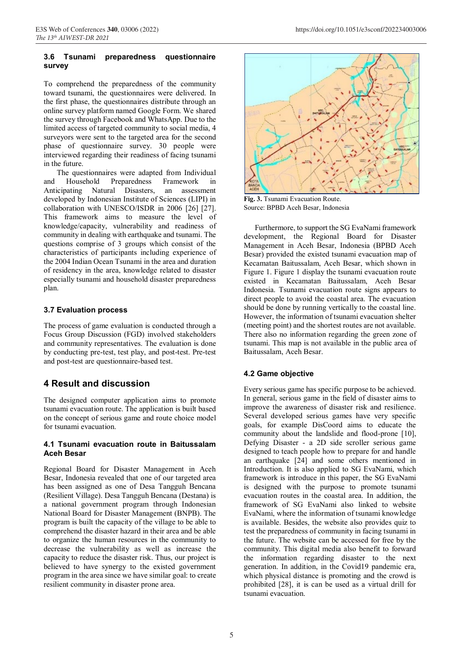#### **3.6 Tsunami preparedness questionnaire survey**

To comprehend the preparedness of the community toward tsunami, the questionnaires were delivered. In the first phase, the questionnaires distribute through an online survey platform named Google Form. We shared the survey through Facebook and WhatsApp. Due to the limited access of targeted community to social media, 4 surveyors were sent to the targeted area for the second phase of questionnaire survey. 30 people were interviewed regarding their readiness of facing tsunami in the future.

The questionnaires were adapted from Individual and Household Preparedness Framework in Anticipating Natural Disasters, an assessment developed by Indonesian Institute of Sciences (LIPI) in collaboration with UNESCO/ISDR in 2006 [26] [27]. This framework aims to measure the level of knowledge/capacity, vulnerability and readiness of community in dealing with earthquake and tsunami. The questions comprise of 3 groups which consist of the characteristics of participants including experience of the 2004 Indian Ocean Tsunami in the area and duration of residency in the area, knowledge related to disaster especially tsunami and household disaster preparedness plan.

#### **3.7 Evaluation process**

The process of game evaluation is conducted through a Focus Group Discussion (FGD) involved stakeholders and community representatives. The evaluation is done by conducting pre-test, test play, and post-test. Pre-test and post-test are questionnaire-based test.

# **4 Result and discussion**

The designed computer application aims to promote tsunami evacuation route. The application is built based on the concept of serious game and route choice model for tsunami evacuation.

#### **4.1 Tsunami evacuation route in Baitussalam Aceh Besar**

Regional Board for Disaster Management in Aceh Besar, Indonesia revealed that one of our targeted area has been assigned as one of Desa Tangguh Bencana (Resilient Village). Desa Tangguh Bencana (Destana) is a national government program through Indonesian National Board for Disaster Management (BNPB). The program is built the capacity of the village to be able to comprehend the disaster hazard in their area and be able to organize the human resources in the community to decrease the vulnerability as well as increase the capacity to reduce the disaster risk. Thus, our project is believed to have synergy to the existed government program in the area since we have similar goal: to create resilient community in disaster prone area.



**Fig. 3.** Tsunami Evacuation Route. Source: BPBD Aceh Besar, Indonesia

Furthermore, to support the SG EvaNami framework development, the Regional Board for Disaster Management in Aceh Besar, Indonesia (BPBD Aceh Besar) provided the existed tsunami evacuation map of Kecamatan Baitussalam, Aceh Besar, which shown in Figure 1. Figure 1 display the tsunami evacuation route existed in Kecamatan Baitussalam, Aceh Besar Indonesia. Tsunami evacuation route signs appears to direct people to avoid the coastal area. The evacuation should be done by running vertically to the coastal line. However, the information of tsunami evacuation shelter (meeting point) and the shortest routes are not available. There also no information regarding the green zone of tsunami. This map is not available in the public area of Baitussalam, Aceh Besar.

#### **4.2 Game objective**

Every serious game has specific purpose to be achieved. In general, serious game in the field of disaster aims to improve the awareness of disaster risk and resilience. Several developed serious games have very specific goals, for example DisCoord aims to educate the community about the landslide and flood-prone [10], Defying Disaster - a 2D side scroller serious game designed to teach people how to prepare for and handle an earthquake [24] and some others mentioned in Introduction. It is also applied to SG EvaNami, which framework is introduce in this paper, the SG EvaNami is designed with the purpose to promote tsunami evacuation routes in the coastal area. In addition, the framework of SG EvaNami also linked to website EvaNami, where the information of tsunami knowledge is available. Besides, the website also provides quiz to test the preparedness of community in facing tsunami in the future. The website can be accessed for free by the community. This digital media also benefit to forward the information regarding disaster to the next generation. In addition, in the Covid19 pandemic era, which physical distance is promoting and the crowd is prohibited [28], it is can be used as a virtual drill for tsunami evacuation.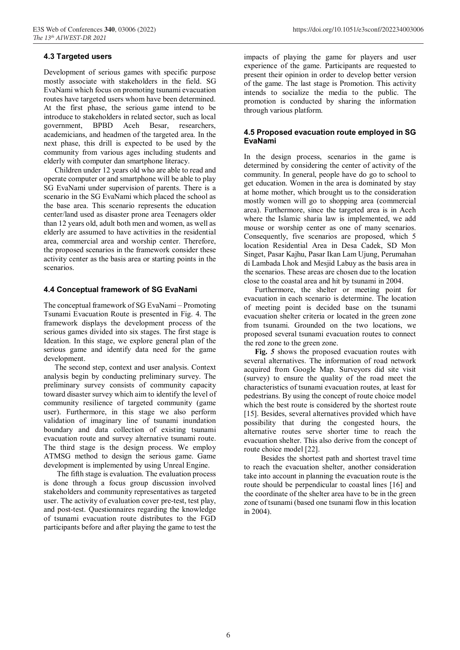#### **4.3 Targeted users**

Development of serious games with specific purpose mostly associate with stakeholders in the field. SG EvaNami which focus on promoting tsunami evacuation routes have targeted users whom have been determined. At the first phase, the serious game intend to be introduce to stakeholders in related sector, such as local government, BPBD Aceh Besar, researchers, academicians, and headmen of the targeted area. In the next phase, this drill is expected to be used by the community from various ages including students and elderly with computer dan smartphone literacy.

Children under 12 years old who are able to read and operate computer or and smartphone will be able to play SG EvaNami under supervision of parents. There is a scenario in the SG EvaNami which placed the school as the base area. This scenario represents the education center/land used as disaster prone area Teenagers older than 12 years old, adult both men and women, as well as elderly are assumed to have activities in the residential area, commercial area and worship center. Therefore, the proposed scenarios in the framework consider these activity center as the basis area or starting points in the scenarios.

#### **4.4 Conceptual framework of SG EvaNami**

The conceptual framework of SG EvaNami – Promoting Tsunami Evacuation Route is presented in Fig. 4. The framework displays the development process of the serious games divided into six stages. The first stage is Ideation. In this stage, we explore general plan of the serious game and identify data need for the game development.

The second step, context and user analysis. Context analysis begin by conducting preliminary survey. The preliminary survey consists of community capacity toward disaster survey which aim to identify the level of community resilience of targeted community (game user). Furthermore, in this stage we also perform validation of imaginary line of tsunami inundation boundary and data collection of existing tsunami evacuation route and survey alternative tsunami route. The third stage is the design process. We employ ATMSG method to design the serious game. Game development is implemented by using Unreal Engine.

The fifth stage is evaluation. The evaluation process is done through a focus group discussion involved stakeholders and community representatives as targeted user. The activity of evaluation cover pre-test, test play, and post-test. Questionnaires regarding the knowledge of tsunami evacuation route distributes to the FGD participants before and after playing the game to test the impacts of playing the game for players and user experience of the game. Participants are requested to present their opinion in order to develop better version of the game. The last stage is Promotion. This activity intends to socialize the media to the public. The promotion is conducted by sharing the information through various platform.

#### **4.5 Proposed evacuation route employed in SG EvaNami**

In the design process, scenarios in the game is determined by considering the center of activity of the community. In general, people have do go to school to get education. Women in the area is dominated by stay at home mother, which brought us to the consideration mostly women will go to shopping area (commercial area). Furthermore, since the targeted area is in Aceh where the Islamic sharia law is implemented, we add mouse or worship center as one of many scenarios. Consequently, five scenarios are proposed, which 5 location Residential Area in Desa Cadek, SD Mon Singet, Pasar Kajhu, Pasar Ikan Lam Ujung, Perumahan di Lambada Lhok and Mesjid Labuy as the basis area in the scenarios. These areas are chosen due to the location close to the coastal area and hit by tsunami in 2004.

Furthermore, the shelter or meeting point for evacuation in each scenario is determine. The location of meeting point is decided base on the tsunami evacuation shelter criteria or located in the green zone from tsunami. Grounded on the two locations, we proposed several tsunami evacuation routes to connect the red zone to the green zone.

**Fig.** *5* shows the proposed evacuation routes with several alternatives. The information of road network acquired from Google Map. Surveyors did site visit (survey) to ensure the quality of the road meet the characteristics of tsunami evacuation routes, at least for pedestrians. By using the concept of route choice model which the best route is considered by the shortest route [15]. Besides, several alternatives provided which have possibility that during the congested hours, the alternative routes serve shorter time to reach the evacuation shelter. This also derive from the concept of route choice model [22].

Besides the shortest path and shortest travel time to reach the evacuation shelter, another consideration take into account in planning the evacuation route is the route should be perpendicular to coastal lines [16] and the coordinate of the shelter area have to be in the green zone of tsunami (based one tsunami flow in this location in 2004).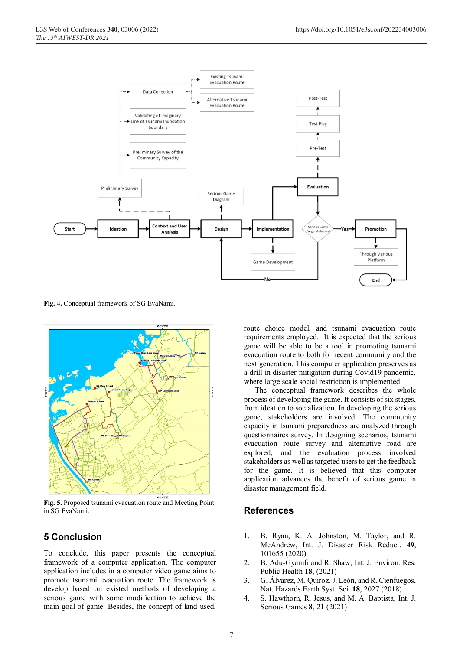

**Fig. 4.** Conceptual framework of SG EvaNami.



**Fig. 5.** Proposed tsunami evacuation route and Meeting Point in SG EvaNami.

# **5 Conclusion**

To conclude, this paper presents the conceptual framework of a computer application. The computer application includes in a computer video game aims to promote tsunami evacuation route. The framework is develop based on existed methods of developing a serious game with some modification to achieve the main goal of game. Besides, the concept of land used,

route choice model, and tsunami evacuation route requirements employed. It is expected that the serious game will be able to be a tool in promoting tsunami evacuation route to both for recent community and the next generation. This computer application preserves as a drill in disaster mitigation during Covid19 pandemic, where large scale social restriction is implemented.

The conceptual framework describes the whole process of developing the game. It consists of six stages, from ideation to socialization. In developing the serious game, stakeholders are involved. The community capacity in tsunami preparedness are analyzed through questionnaires survey. In designing scenarios, tsunami evacuation route survey and alternative road are explored, and the evaluation process involved stakeholders as well as targeted users to get the feedback for the game. It is believed that this computer application advances the benefit of serious game in disaster management field.

# **References**

- 1. B. Ryan, K. A. Johnston, M. Taylor, and R. McAndrew, Int. J. Disaster Risk Reduct. **49**, 101655 (2020)
- 2. B. Adu-Gyamfi and R. Shaw, Int. J. Environ. Res. Public Health **18**, (2021)
- 3. G. Álvarez, M. Quiroz, J. León, and R. Cienfuegos, Nat. Hazards Earth Syst. Sci. **18**, 2027 (2018)
- 4. S. Hawthorn, R. Jesus, and M. A. Baptista, Int. J. Serious Games **8**, 21 (2021)